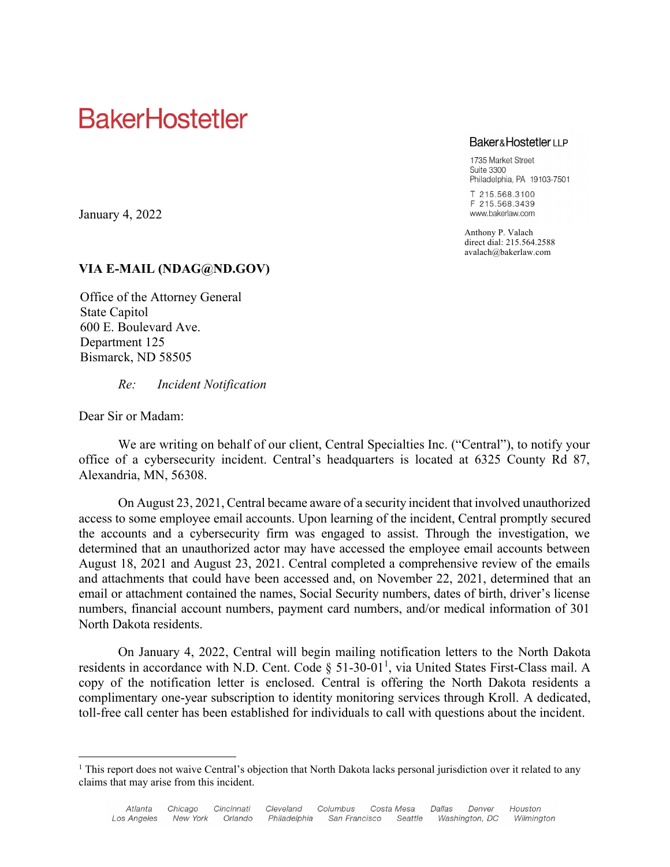## **BakerHostetler**

#### **Baker&HostetlerLLP**

1735 Market Street Suite 3300 Philadelphia, PA 19103-7501

T 215.568.3100 F 215.568.3439 www.bakerlaw.com

Anthony P. Valach direct dial: 215.564.2588 avalach@bakerlaw.com

### **VIA E-MAIL (NDAG@ND.GOV)**

Office of the Attorney General State Capitol 600 E. Boulevard Ave. Department 125 Bismarck, ND 58505

*Re: Incident Notification*

Dear Sir or Madam:

January 4, 2022

We are writing on behalf of our client, Central Specialties Inc. ("Central"), to notify your office of a cybersecurity incident. Central's headquarters is located at 6325 County Rd 87, Alexandria, MN, 56308.

On August 23, 2021, Central became aware of a security incident that involved unauthorized access to some employee email accounts. Upon learning of the incident, Central promptly secured the accounts and a cybersecurity firm was engaged to assist. Through the investigation, we determined that an unauthorized actor may have accessed the employee email accounts between August 18, 2021 and August 23, 2021. Central completed a comprehensive review of the emails and attachments that could have been accessed and, on November 22, 2021, determined that an email or attachment contained the names, Social Security numbers, dates of birth, driver's license numbers, financial account numbers, payment card numbers, and/or medical information of 301 North Dakota residents.

On January 4, 2022, Central will begin mailing notification letters to the North Dakota residents in accordance with N.D. Cent. Code  $\S$  51-30-01<sup>1</sup>, via United States First-Class mail. A copy of the notification letter is enclosed. Central is offering the North Dakota residents a complimentary one-year subscription to identity monitoring services through Kroll. A dedicated, toll-free call center has been established for individuals to call with questions about the incident.

 $<sup>1</sup>$  This report does not waive Central's objection that North Dakota lacks personal jurisdiction over it related to any</sup> claims that may arise from this incident.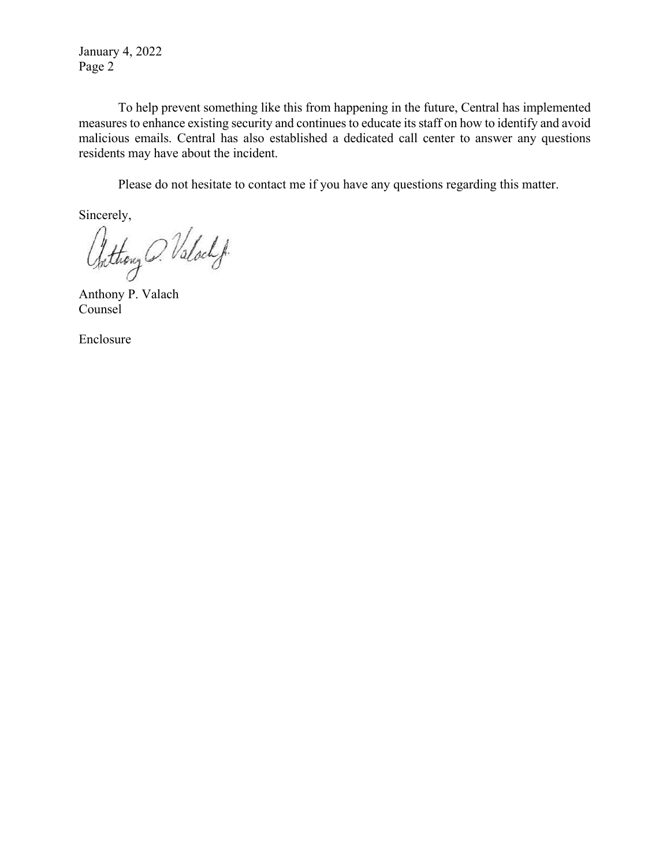January 4, 2022 Page 2

To help prevent something like this from happening in the future, Central has implemented measures to enhance existing security and continues to educate its staff on how to identify and avoid malicious emails. Central has also established a dedicated call center to answer any questions residents may have about the incident.

Please do not hesitate to contact me if you have any questions regarding this matter.

Sincerely,<br>Chithouy O. Valoch f.

Anthony P. Valach Counsel

Enclosure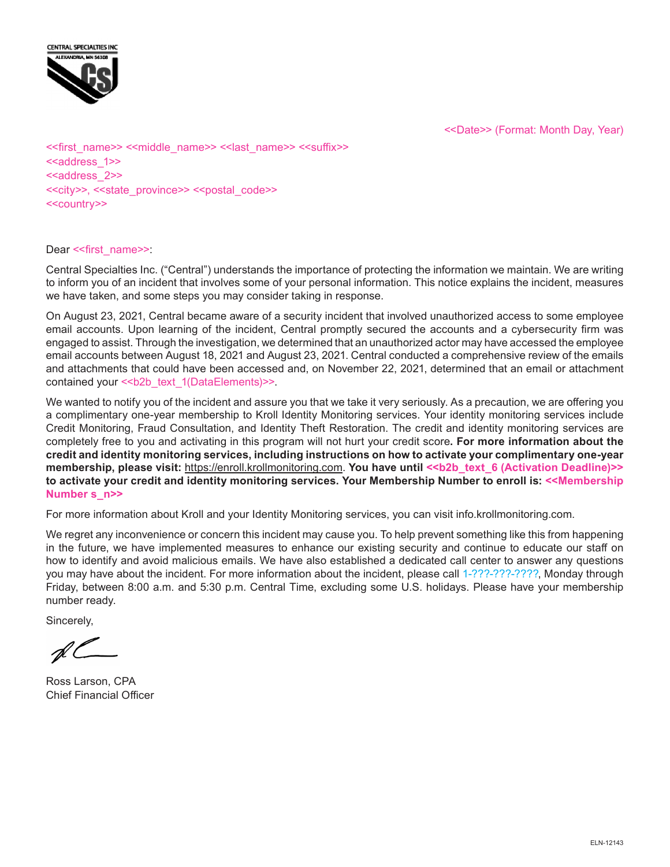



<<first\_name>> <<middle\_name>> <<last\_name>> <<suffix>> <<address\_1>> <<address\_2>> <<city>>, <<state\_province>> <<postal\_code>> <<country>>

#### Dear << first\_name>>:

Central Specialties Inc. ("Central") understands the importance of protecting the information we maintain. We are writing to inform you of an incident that involves some of your personal information. This notice explains the incident, measures we have taken, and some steps you may consider taking in response.

On August 23, 2021, Central became aware of a security incident that involved unauthorized access to some employee email accounts. Upon learning of the incident, Central promptly secured the accounts and a cybersecurity firm was engaged to assist. Through the investigation, we determined that an unauthorized actor may have accessed the employee email accounts between August 18, 2021 and August 23, 2021. Central conducted a comprehensive review of the emails and attachments that could have been accessed and, on November 22, 2021, determined that an email or attachment contained your << b2b\_text\_1(DataElements)>>.

We wanted to notify you of the incident and assure you that we take it very seriously. As a precaution, we are offering you a complimentary one-year membership to Kroll Identity Monitoring services. Your identity monitoring services include Credit Monitoring, Fraud Consultation, and Identity Theft Restoration. The credit and identity monitoring services are completely free to you and activating in this program will not hurt your credit score**. For more information about the credit and identity monitoring services, including instructions on how to activate your complimentary one-year membership, please visit:** https://enroll.krollmonitoring.com. You have until <<br/>b>2b\_text\_6 (Activation Deadline)>> **to activate your credit and identity monitoring services. Your Membership Number to enroll is: <<Membership Number s\_n>>**

For more information about Kroll and your Identity Monitoring services, you can visit info.krollmonitoring.com.

We regret any inconvenience or concern this incident may cause you. To help prevent something like this from happening in the future, we have implemented measures to enhance our existing security and continue to educate our staff on how to identify and avoid malicious emails. We have also established a dedicated call center to answer any questions you may have about the incident. For more information about the incident, please call 1-???-???-????, Monday through Friday, between 8:00 a.m. and 5:30 p.m. Central Time, excluding some U.S. holidays. Please have your membership number ready.

Sincerely,

Ross Larson, CPA Chief Financial Officer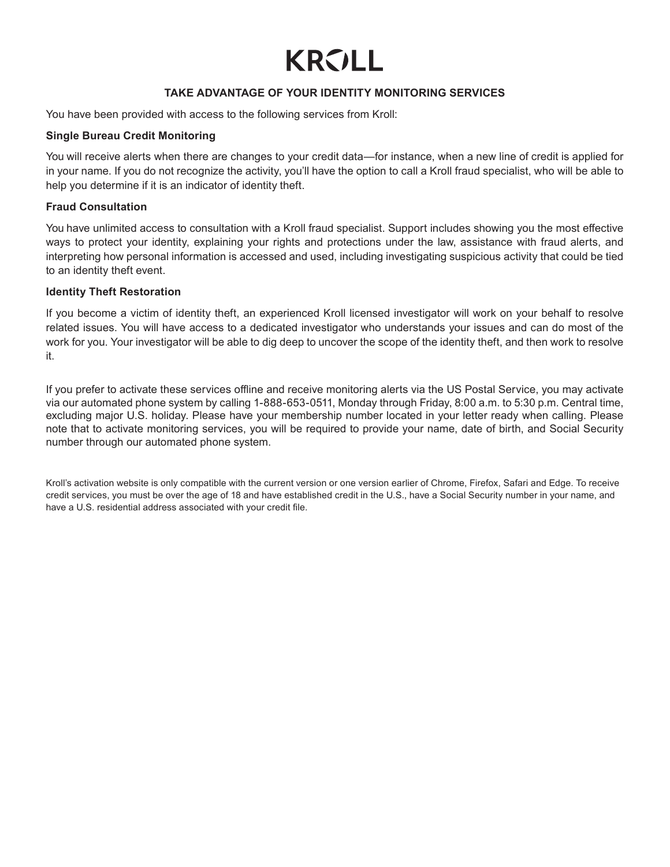# **KROLL**

#### **TAKE ADVANTAGE OF YOUR IDENTITY MONITORING SERVICES**

You have been provided with access to the following services from Kroll:

#### **Single Bureau Credit Monitoring**

You will receive alerts when there are changes to your credit data—for instance, when a new line of credit is applied for in your name. If you do not recognize the activity, you'll have the option to call a Kroll fraud specialist, who will be able to help you determine if it is an indicator of identity theft.

#### **Fraud Consultation**

You have unlimited access to consultation with a Kroll fraud specialist. Support includes showing you the most effective ways to protect your identity, explaining your rights and protections under the law, assistance with fraud alerts, and interpreting how personal information is accessed and used, including investigating suspicious activity that could be tied to an identity theft event.

#### **Identity Theft Restoration**

If you become a victim of identity theft, an experienced Kroll licensed investigator will work on your behalf to resolve related issues. You will have access to a dedicated investigator who understands your issues and can do most of the work for you. Your investigator will be able to dig deep to uncover the scope of the identity theft, and then work to resolve it.

If you prefer to activate these services offline and receive monitoring alerts via the US Postal Service, you may activate via our automated phone system by calling 1-888-653-0511, Monday through Friday, 8:00 a.m. to 5:30 p.m. Central time, excluding major U.S. holiday. Please have your membership number located in your letter ready when calling. Please note that to activate monitoring services, you will be required to provide your name, date of birth, and Social Security number through our automated phone system.

Kroll's activation website is only compatible with the current version or one version earlier of Chrome, Firefox, Safari and Edge. To receive credit services, you must be over the age of 18 and have established credit in the U.S., have a Social Security number in your name, and have a U.S. residential address associated with your credit file.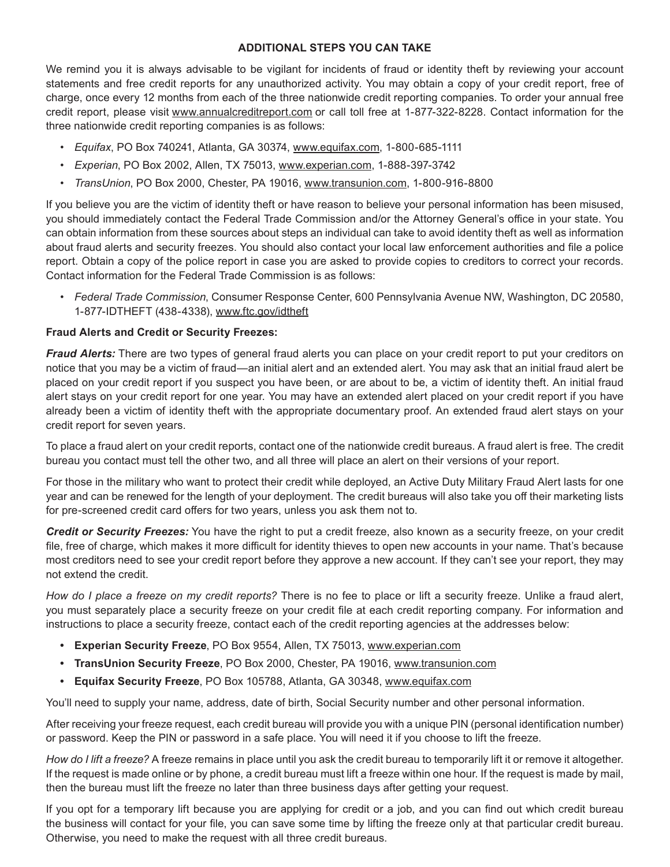#### **ADDITIONAL STEPS YOU CAN TAKE**

We remind you it is always advisable to be vigilant for incidents of fraud or identity theft by reviewing your account statements and free credit reports for any unauthorized activity. You may obtain a copy of your credit report, free of charge, once every 12 months from each of the three nationwide credit reporting companies. To order your annual free credit report, please visit www.annualcreditreport.com or call toll free at 1-877-322-8228. Contact information for the three nationwide credit reporting companies is as follows:

- *• Equifax*, PO Box 740241, Atlanta, GA 30374, www.equifax.com, 1-800-685-1111
- *• Experian*, PO Box 2002, Allen, TX 75013, www.experian.com, 1-888-397-3742
- *• TransUnion*, PO Box 2000, Chester, PA 19016, www.transunion.com, 1-800-916-8800

If you believe you are the victim of identity theft or have reason to believe your personal information has been misused, you should immediately contact the Federal Trade Commission and/or the Attorney General's office in your state. You can obtain information from these sources about steps an individual can take to avoid identity theft as well as information about fraud alerts and security freezes. You should also contact your local law enforcement authorities and file a police report. Obtain a copy of the police report in case you are asked to provide copies to creditors to correct your records. Contact information for the Federal Trade Commission is as follows:

*• Federal Trade Commission*, Consumer Response Center, 600 Pennsylvania Avenue NW, Washington, DC 20580, 1-877-IDTHEFT (438-4338), www.ftc.gov/idtheft

#### **Fraud Alerts and Credit or Security Freezes:**

*Fraud Alerts:* There are two types of general fraud alerts you can place on your credit report to put your creditors on notice that you may be a victim of fraud—an initial alert and an extended alert. You may ask that an initial fraud alert be placed on your credit report if you suspect you have been, or are about to be, a victim of identity theft. An initial fraud alert stays on your credit report for one year. You may have an extended alert placed on your credit report if you have already been a victim of identity theft with the appropriate documentary proof. An extended fraud alert stays on your credit report for seven years.

To place a fraud alert on your credit reports, contact one of the nationwide credit bureaus. A fraud alert is free. The credit bureau you contact must tell the other two, and all three will place an alert on their versions of your report.

For those in the military who want to protect their credit while deployed, an Active Duty Military Fraud Alert lasts for one year and can be renewed for the length of your deployment. The credit bureaus will also take you off their marketing lists for pre-screened credit card offers for two years, unless you ask them not to.

*Credit or Security Freezes:* You have the right to put a credit freeze, also known as a security freeze, on your credit file, free of charge, which makes it more difficult for identity thieves to open new accounts in your name. That's because most creditors need to see your credit report before they approve a new account. If they can't see your report, they may not extend the credit.

*How do I place a freeze on my credit reports?* There is no fee to place or lift a security freeze. Unlike a fraud alert, you must separately place a security freeze on your credit file at each credit reporting company. For information and instructions to place a security freeze, contact each of the credit reporting agencies at the addresses below:

- **• Experian Security Freeze**, PO Box 9554, Allen, TX 75013, www.experian.com
- **• TransUnion Security Freeze**, PO Box 2000, Chester, PA 19016, www.transunion.com
- **• Equifax Security Freeze**, PO Box 105788, Atlanta, GA 30348, www.equifax.com

You'll need to supply your name, address, date of birth, Social Security number and other personal information.

After receiving your freeze request, each credit bureau will provide you with a unique PIN (personal identification number) or password. Keep the PIN or password in a safe place. You will need it if you choose to lift the freeze.

*How do I lift a freeze?* A freeze remains in place until you ask the credit bureau to temporarily lift it or remove it altogether. If the request is made online or by phone, a credit bureau must lift a freeze within one hour. If the request is made by mail, then the bureau must lift the freeze no later than three business days after getting your request.

If you opt for a temporary lift because you are applying for credit or a job, and you can find out which credit bureau the business will contact for your file, you can save some time by lifting the freeze only at that particular credit bureau. Otherwise, you need to make the request with all three credit bureaus.